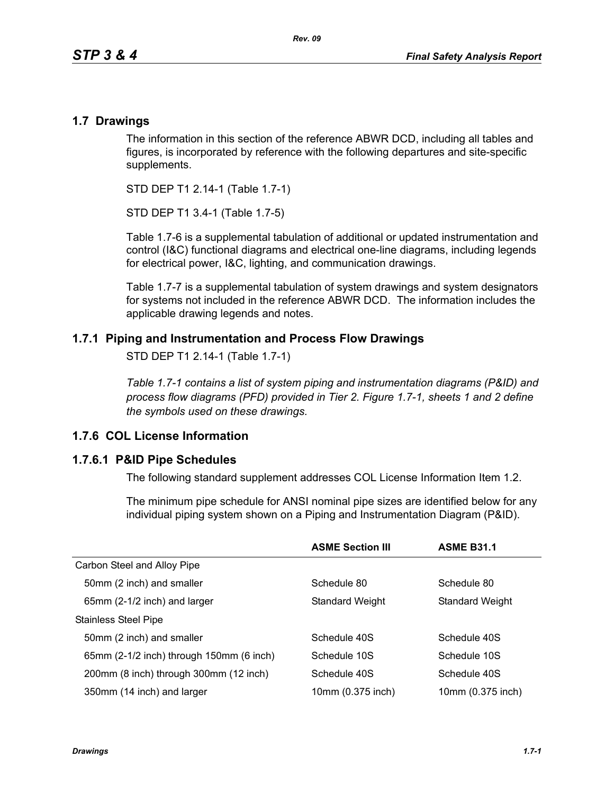### **1.7 Drawings**

The information in this section of the reference ABWR DCD, including all tables and figures, is incorporated by reference with the following departures and site-specific supplements.

STD DEP T1 2.14-1 (Table 1.7-1)

STD DEP T1 3.4-1 (Table 1.7-5)

Table [1.7-6](#page-3-0) is a supplemental tabulation of additional or updated instrumentation and control (I&C) functional diagrams and electrical one-line diagrams, including legends for electrical power, I&C, lighting, and communication drawings.

Table 1.7-7 is a supplemental tabulation of system drawings and system designators for systems not included in the reference ABWR DCD. The information includes the applicable drawing legends and notes.

## **1.7.1 Piping and Instrumentation and Process Flow Drawings**

STD DEP T1 2.14-1 (Table 1.7-1)

*Table 1.7-1 contains a list of system piping and instrumentation diagrams (P&ID) and process flow diagrams (PFD) provided in Tier 2. Figure 1.7-1, sheets 1 and 2 define the symbols used on these drawings.*

## **1.7.6 COL License Information**

#### **1.7.6.1 P&ID Pipe Schedules**

The following standard supplement addresses COL License Information Item 1.2.

The minimum pipe schedule for ANSI nominal pipe sizes are identified below for any individual piping system shown on a Piping and Instrumentation Diagram (P&ID).

|                                          | <b>ASME Section III</b> | <b>ASME B31.1</b>      |
|------------------------------------------|-------------------------|------------------------|
| Carbon Steel and Alloy Pipe              |                         |                        |
| 50mm (2 inch) and smaller                | Schedule 80             | Schedule 80            |
| 65mm (2-1/2 inch) and larger             | <b>Standard Weight</b>  | <b>Standard Weight</b> |
| <b>Stainless Steel Pipe</b>              |                         |                        |
| 50mm (2 inch) and smaller                | Schedule 40S            | Schedule 40S           |
| 65mm (2-1/2 inch) through 150mm (6 inch) | Schedule 10S            | Schedule 10S           |
| 200mm (8 inch) through 300mm (12 inch)   | Schedule 40S            | Schedule 40S           |
| 350mm (14 inch) and larger               | 10mm (0.375 inch)       | 10mm (0.375 inch)      |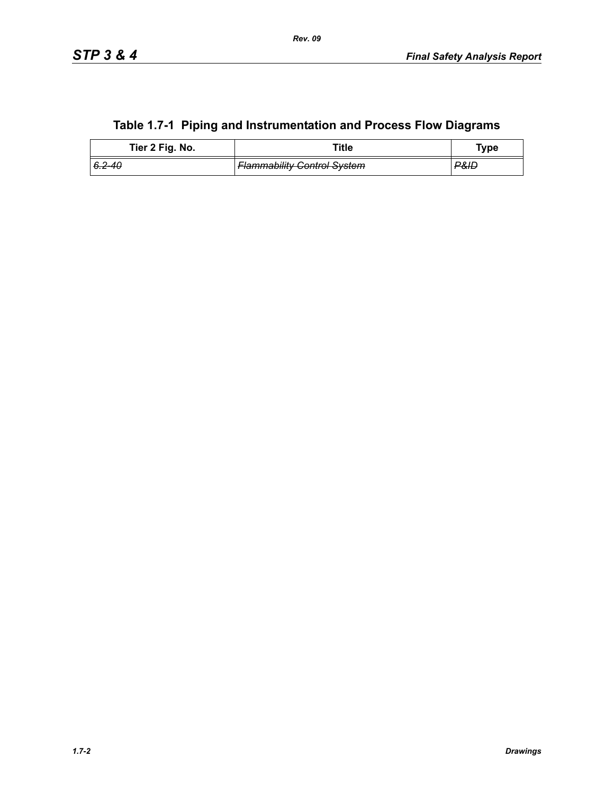|  |  |  | Table 1.7-1 Piping and Instrumentation and Process Flow Diagrams |
|--|--|--|------------------------------------------------------------------|
|--|--|--|------------------------------------------------------------------|

| Tier 2 Fig. No. | Title                              | Type |
|-----------------|------------------------------------|------|
| 6.2–40 I        | <b>Flammability Control System</b> | ₽&ID |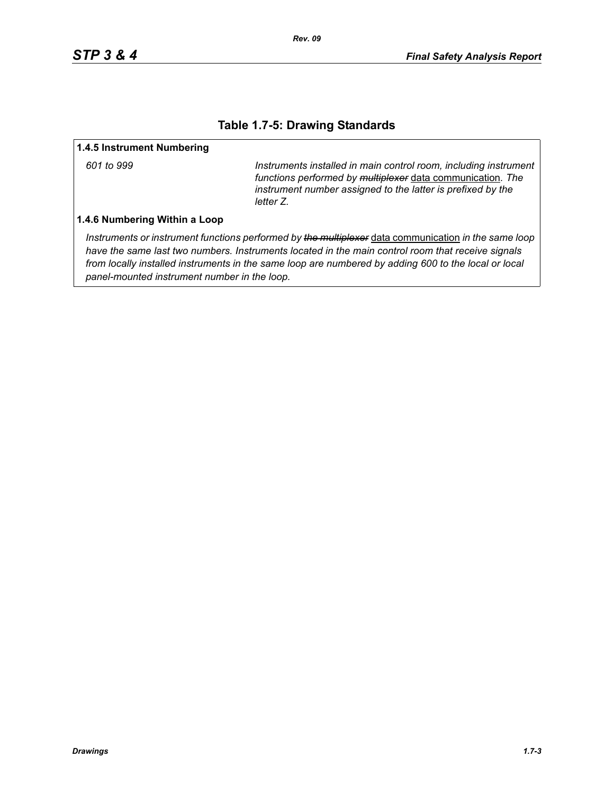### **Table 1.7-5: Drawing Standards**

#### **1.4.5 Instrument Numbering**

*601 to 999 Instruments installed in main control room, including instrument functions performed by multiplexer* data communication*. The instrument number assigned to the latter is prefixed by the letter Z.*

#### **1.4.6 Numbering Within a Loop**

*Instruments or instrument functions performed by the multiplexer* data communication *in the same loop have the same last two numbers. Instruments located in the main control room that receive signals from locally installed instruments in the same loop are numbered by adding 600 to the local or local panel-mounted instrument number in the loop.*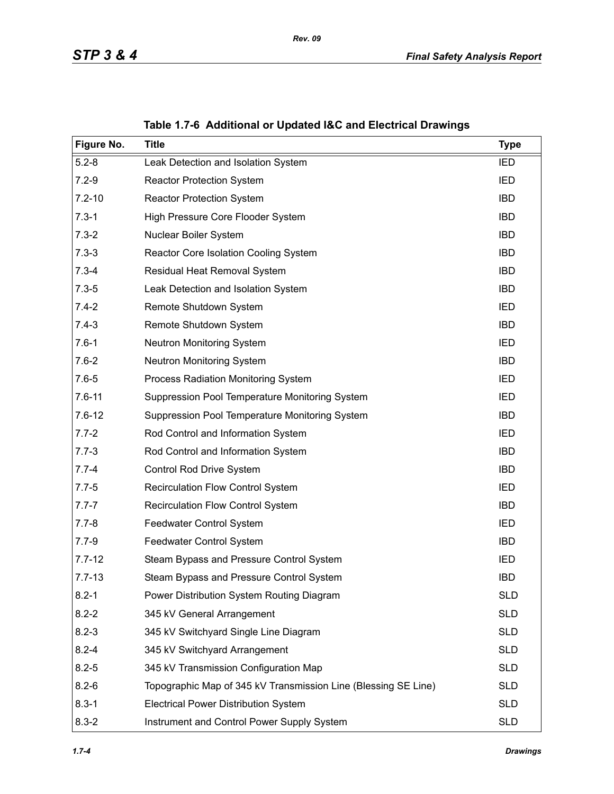<span id="page-3-0"></span>

| Figure No. | <b>Title</b>                                                   | <b>Type</b> |
|------------|----------------------------------------------------------------|-------------|
| $5.2 - 8$  | Leak Detection and Isolation System                            | <b>IED</b>  |
| $7.2 - 9$  | <b>Reactor Protection System</b>                               | IED         |
| $7.2 - 10$ | <b>Reactor Protection System</b>                               | <b>IBD</b>  |
| $7.3 - 1$  | High Pressure Core Flooder System                              | <b>IBD</b>  |
| $7.3 - 2$  | Nuclear Boiler System                                          | <b>IBD</b>  |
| $7.3 - 3$  | Reactor Core Isolation Cooling System                          | <b>IBD</b>  |
| $7.3 - 4$  | Residual Heat Removal System                                   | <b>IBD</b>  |
| $7.3 - 5$  | Leak Detection and Isolation System                            | <b>IBD</b>  |
| $7.4 - 2$  | Remote Shutdown System                                         | IED         |
| $7.4 - 3$  | Remote Shutdown System                                         | <b>IBD</b>  |
| $7.6 - 1$  | <b>Neutron Monitoring System</b>                               | IED         |
| $7.6 - 2$  | <b>Neutron Monitoring System</b>                               | <b>IBD</b>  |
| $7.6 - 5$  | Process Radiation Monitoring System                            | IED         |
| $7.6 - 11$ | Suppression Pool Temperature Monitoring System                 | IED         |
| $7.6 - 12$ | Suppression Pool Temperature Monitoring System                 | <b>IBD</b>  |
| $7.7 - 2$  | Rod Control and Information System                             | <b>IED</b>  |
| $7.7 - 3$  | Rod Control and Information System                             | <b>IBD</b>  |
| $7.7 - 4$  | Control Rod Drive System                                       | <b>IBD</b>  |
| $7.7 - 5$  | <b>Recirculation Flow Control System</b>                       | IED         |
| $7.7 - 7$  | Recirculation Flow Control System                              | <b>IBD</b>  |
| $7.7 - 8$  | Feedwater Control System                                       | IED         |
| $7.7 - 9$  | Feedwater Control System                                       | <b>IBD</b>  |
| $7.7 - 12$ | Steam Bypass and Pressure Control System                       | IED         |
| $7.7 - 13$ | Steam Bypass and Pressure Control System                       | <b>IBD</b>  |
| $8.2 - 1$  | Power Distribution System Routing Diagram                      | <b>SLD</b>  |
| $8.2 - 2$  | 345 kV General Arrangement                                     | <b>SLD</b>  |
| $8.2 - 3$  | 345 kV Switchyard Single Line Diagram                          | <b>SLD</b>  |
| $8.2 - 4$  | 345 kV Switchyard Arrangement                                  | <b>SLD</b>  |
| $8.2 - 5$  | 345 kV Transmission Configuration Map                          | <b>SLD</b>  |
| $8.2 - 6$  | Topographic Map of 345 kV Transmission Line (Blessing SE Line) | <b>SLD</b>  |
| $8.3 - 1$  | <b>Electrical Power Distribution System</b>                    | <b>SLD</b>  |
| $8.3 - 2$  | Instrument and Control Power Supply System                     | <b>SLD</b>  |

**Table 1.7-6 Additional or Updated I&C and Electrical Drawings**